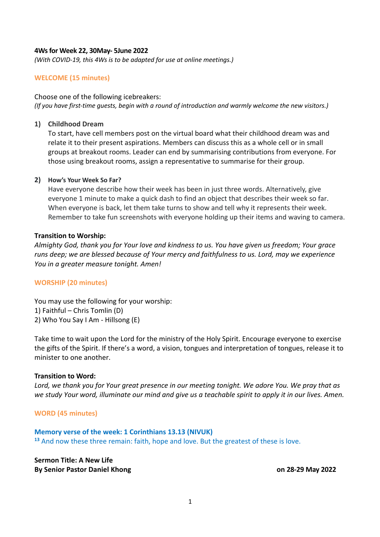### **4Ws for Week 22, 30May- 5June 2022**

*(With COVID-19, this 4Ws is to be adapted for use at online meetings.)*

### **WELCOME (15 minutes)**

#### Choose one of the following icebreakers:

*(If you have first-time guests, begin with a round of introduction and warmly welcome the new visitors.)*

#### **1) Childhood Dream**

To start, have cell members post on the virtual board what their childhood dream was and relate it to their present aspirations. Members can discuss this as a whole cell or in small groups at breakout rooms. Leader can end by summarising contributions from everyone. For those using breakout rooms, assign a representative to summarise for their group.

#### **2) How's Your Week So Far?**

Have everyone describe how their week has been in just three words. Alternatively, give everyone 1 minute to make a quick dash to find an object that describes their week so far. When everyone is back, let them take turns to show and tell why it represents their week. Remember to take fun screenshots with everyone holding up their items and waving to camera.

#### **Transition to Worship:**

*Almighty God, thank you for Your love and kindness to us. You have given us freedom; Your grace runs deep; we are blessed because of Your mercy and faithfulness to us. Lord, may we experience You in a greater measure tonight. Amen!*

#### **WORSHIP (20 minutes)**

You may use the following for your worship: 1) Faithful – Chris Tomlin (D) 2) Who You Say I Am - Hillsong (E)

Take time to wait upon the Lord for the ministry of the Holy Spirit. Encourage everyone to exercise the gifts of the Spirit. If there's a word, a vision, tongues and interpretation of tongues, release it to minister to one another.

#### **Transition to Word:**

*Lord, we thank you for Your great presence in our meeting tonight. We adore You. We pray that as we study Your word, illuminate our mind and give us a teachable spirit to apply it in our lives. Amen.*

**WORD (45 minutes)**

### **Memory verse of the week: 1 Corinthians 13.13 (NIVUK)**

**<sup>13</sup>** And now these three remain: faith, hope and love. But the greatest of these is love.

**Sermon Title: A New Life By Senior Pastor Daniel Khong on 28-29 May 2022**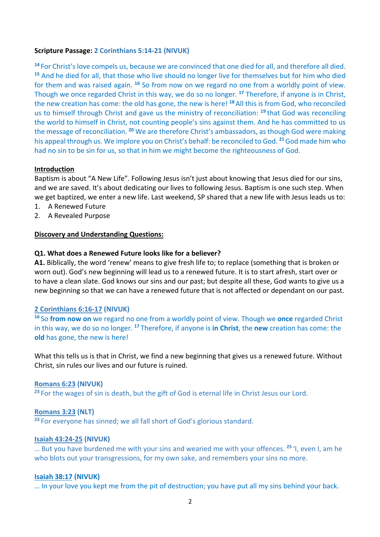## **Scripture Passage: 2 Corinthians 5:14-21 (NIVUK)**

**<sup>14</sup>**For Christ's love compels us, because we are convinced that one died for all, and therefore all died. **<sup>15</sup>** And he died for all, that those who live should no longer live for themselves but for him who died for them and was raised again. **<sup>16</sup>** So from now on we regard no one from a worldly point of view. Though we once regarded Christ in this way, we do so no longer. **<sup>17</sup>** Therefore, if anyone is in Christ, the new creation has come: the old has gone, the new is here! **<sup>18</sup>**All this is from God, who reconciled us to himself through Christ and gave us the ministry of reconciliation: **<sup>19</sup>**that God was reconciling the world to himself in Christ, not counting people's sins against them. And he has committed to us the message of reconciliation. **<sup>20</sup>** We are therefore Christ's ambassadors, as though God were making his appeal through us. We implore you on Christ's behalf: be reconciled to God. **<sup>21</sup>**God made him who had no sin to be sin for us, so that in him we might become the righteousness of God.

### **Introduction**

Baptism is about "A New Life". Following Jesus isn't just about knowing that Jesus died for our sins, and we are saved. It's about dedicating our lives to following Jesus. Baptism is one such step. When we get baptized, we enter a new life. Last weekend, SP shared that a new life with Jesus leads us to:

- 1. A Renewed Future
- 2. A Revealed Purpose

#### **Discovery and Understanding Questions:**

### **Q1. What does a Renewed Future looks like for a believer?**

**A1.** Biblically, the word 'renew' means to give fresh life to; to replace (something that is broken or worn out). God's new beginning will lead us to a renewed future. It is to start afresh, start over or to have a clean slate. God knows our sins and our past; but despite all these, God wants to give us a new beginning so that we can have a renewed future that is not affected or dependant on our past.

#### **2 Corinthians 6:16-17 (NIVUK)**

**<sup>16</sup>**So **from now on** we regard no one from a worldly point of view. Though we **once** regarded Christ in this way, we do so no longer. **<sup>17</sup>**Therefore, if anyone is **in Christ**, the **new** creation has come: the **old** has gone, the new is here!

What this tells us is that in Christ, we find a new beginning that gives us a renewed future. Without Christ, sin rules our lives and our future is ruined.

### **Romans 6:23 (NIVUK)**

<sup>23</sup> For the wages of sin is death, but the gift of God is eternal life in Christ Jesus our Lord.

#### **Romans 3:23 (NLT)**

<sup>23</sup> For everyone has sinned; we all fall short of God's glorious standard.

#### **Isaiah 43:24-25 (NIVUK)**

… But you have burdened me with your sins and wearied me with your offences. **<sup>25</sup>** 'I, even I, am he who blots out your transgressions, for my own sake, and remembers your sins no more.

#### **Isaiah 38:17 (NIVUK)**

… In your love you kept me from the pit of destruction; you have put all my sins behind your back.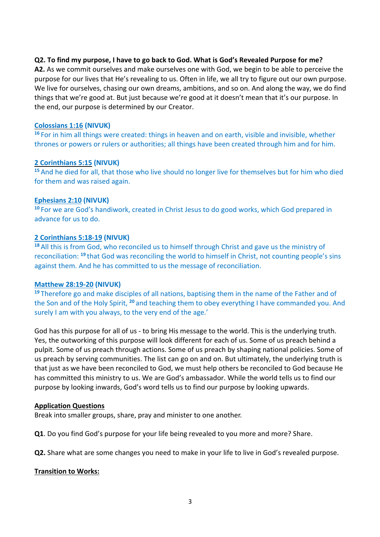## **Q2. To find my purpose, I have to go back to God. What is God's Revealed Purpose for me?**

**A2.** As we commit ourselves and make ourselves one with God, we begin to be able to perceive the purpose for our lives that He's revealing to us. Often in life, we all try to figure out our own purpose. We live for ourselves, chasing our own dreams, ambitions, and so on. And along the way, we do find things that we're good at. But just because we're good at it doesn't mean that it's our purpose. In the end, our purpose is determined by our Creator.

### **Colossians 1:16 (NIVUK)**

**<sup>16</sup>** For in him all things were created: things in heaven and on earth, visible and invisible, whether thrones or powers or rulers or authorities; all things have been created through him and for him.

## **2 Corinthians 5:15 (NIVUK)**

**<sup>15</sup>** And he died for all, that those who live should no longer live for themselves but for him who died for them and was raised again.

## **Ephesians 2:10 (NIVUK)**

**<sup>10</sup>** For we are God's handiwork, created in Christ Jesus to do good works, which God prepared in advance for us to do.

## **2 Corinthians 5:18-19 (NIVUK)**

**<sup>18</sup>** All this is from God, who reconciled us to himself through Christ and gave us the ministry of reconciliation: **<sup>19</sup>** that God was reconciling the world to himself in Christ, not counting people's sins against them. And he has committed to us the message of reconciliation.

### **Matthew 28:19-20 (NIVUK)**

**<sup>19</sup>** Therefore go and make disciples of all nations, baptising them in the name of the Father and of the Son and of the Holy Spirit, **<sup>20</sup>** and teaching them to obey everything I have commanded you. And surely I am with you always, to the very end of the age.'

God has this purpose for all of us - to bring His message to the world. This is the underlying truth. Yes, the outworking of this purpose will look different for each of us. Some of us preach behind a pulpit. Some of us preach through actions. Some of us preach by shaping national policies. Some of us preach by serving communities. The list can go on and on. But ultimately, the underlying truth is that just as we have been reconciled to God, we must help others be reconciled to God because He has committed this ministry to us. We are God's ambassador. While the world tells us to find our purpose by looking inwards, God's word tells us to find our purpose by looking upwards.

### **Application Questions**

Break into smaller groups, share, pray and minister to one another.

**Q1**. Do you find God's purpose for your life being revealed to you more and more? Share.

**Q2.** Share what are some changes you need to make in your life to live in God's revealed purpose.

## **Transition to Works:**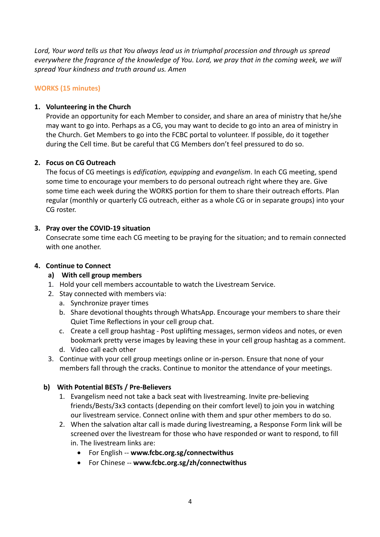*Lord, Your word tells us that You always lead us in triumphal procession and through us spread everywhere the fragrance of the knowledge of You. Lord, we pray that in the coming week, we will spread Your kindness and truth around us. Amen*

# **WORKS (15 minutes)**

# **1. Volunteering in the Church**

Provide an opportunity for each Member to consider, and share an area of ministry that he/she may want to go into. Perhaps as a CG, you may want to decide to go into an area of ministry in the Church. Get Members to go into the FCBC portal to volunteer. If possible, do it together during the Cell time. But be careful that CG Members don't feel pressured to do so.

## **2. Focus on CG Outreach**

The focus of CG meetings is *edification, equipping* and *evangelism*. In each CG meeting, spend some time to encourage your members to do personal outreach right where they are. Give some time each week during the WORKS portion for them to share their outreach efforts. Plan regular (monthly or quarterly CG outreach, either as a whole CG or in separate groups) into your CG roster.

# **3. Pray over the COVID-19 situation**

Consecrate some time each CG meeting to be praying for the situation; and to remain connected with one another.

# **4. Continue to Connect**

- **a) With cell group members**
- 1. Hold your cell members accountable to watch the Livestream Service.
- 2. Stay connected with members via:
	- a. Synchronize prayer times
	- b. Share devotional thoughts through WhatsApp. Encourage your members to share their Quiet Time Reflections in your cell group chat.
	- c. Create a cell group hashtag Post uplifting messages, sermon videos and notes, or even bookmark pretty verse images by leaving these in your cell group hashtag as a comment.
	- d. Video call each other
- 3. Continue with your cell group meetings online or in-person. Ensure that none of your members fall through the cracks. Continue to monitor the attendance of your meetings.

## **b) With Potential BESTs / Pre-Believers**

- 1. Evangelism need not take a back seat with livestreaming. Invite pre-believing friends/Bests/3x3 contacts (depending on their comfort level) to join you in watching our livestream service. Connect online with them and spur other members to do so.
- 2. When the salvation altar call is made during livestreaming, a Response Form link will be screened over the livestream for those who have responded or want to respond, to fill in. The livestream links are:
	- For English -- **www.fcbc.org.sg/connectwithus**
	- For Chinese *-* **www.fcbc.org.sg/zh/connectwithus**